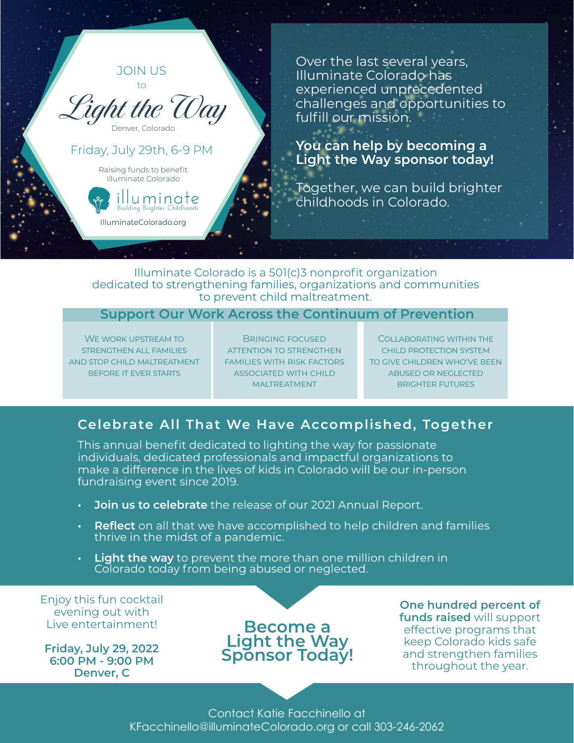

Over the last several years, Illuminate Colorado has experienced unprecedented challenges and opportunities to fulfill our mission.

### **You can help by becoming a Light the Way sponsor today!**

Together, we can build brighter childhoods in Colorado.

### Illuminate Colorado is a 501(c)3 nonprofit organization dedicated to strengthening families, organizations and communities to prevent child maltreatment.

## **Support Our Work Across the Continuum of Prevention**

We work upstream to strengthen all families and stop child maltreatment before it ever starts

Bringing focused attention to strengthen families with risk factors associated with child maltreatment

Collaborating within the child protection system to give children who've been abused or neglected brighter futures

# **Celebrate All That We Have Accomplished, Together**

This annual benefit dedicated to lighting the way for passionate individuals, dedicated professionals and impactful organizations to make a difference in the lives of kids in Colorado will be our in-person fundraising event since 2019.

- **• Join us to celebrate** the release of our 2021 Annual Report.
- **• Reflect** on all that we have accomplished to help children and families thrive in the midst of a pandemic.
- **• Light the way** to prevent the more than one million children in Colorado today from being abused or neglected.

Enjoy this fun cocktail evening out with Live entertainment!

**Friday, July 29, 2022 6:00 PM - 9:00 PM Denver, C**

# **Become a**  Light the Way **Sponsor Today!**

**One hundred percent of funds raised** will support effective programs that keep Colorado kids safe and strengthen families throughout the year.

Contact Katie Facchinello at KFacchinello@illuminateColorado.org or call 303-246-2062